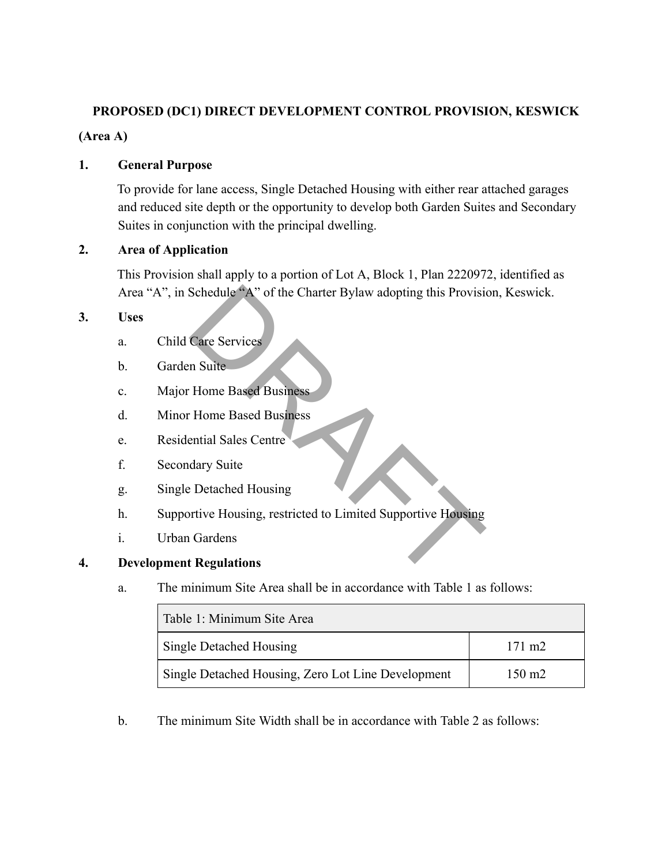# **PROPOSED (DC1) DIRECT DEVELOPMENT CONTROL PROVISION, KESWICK (Area A)**

## **1. General Purpose**

 To provide for lane access, Single Detached Housing with either rear attached garages and reduced site depth or the opportunity to develop both Garden Suites and Secondary Suites in conjunction with the principal dwelling.

## **2. Area of Application**

 This Provision shall apply to a portion of Lot A, Block 1, Plan 2220972, identified as Area "A", in Schedule "A" of the Charter Bylaw adopting this Provision, Keswick.

## **3. Uses**

- a. Child Care Services
- b. Garden Suite
- c. Major Home Based Business
- d. Minor Home Based Business
- e. Residential Sales Centre
- f. Secondary Suite
- g. Single Detached Housing
- h. Supportive Housing, restricted to Limited Supportive Housing Schedule "A" of the Charter Bylaw adopting this Provisional<br>
Care Services<br>
n Suite<br>
Home Based Business<br>
Home Based Business<br>
ential Sales Centre<br>
dary Suite<br>
Detached Housing<br>
provide Detached Housing<br>
of Gardens<br>
t Regu
- i. Urban Gardens

## **4. Development Regulations**

a. The minimum Site Area shall be in accordance with Table 1 as follows:

| Table 1: Minimum Site Area                         |                   |  |  |  |
|----------------------------------------------------|-------------------|--|--|--|
| Single Detached Housing                            | $171 \text{ m}$   |  |  |  |
| Single Detached Housing, Zero Lot Line Development | $150 \text{ m}$ 2 |  |  |  |

b. The minimum Site Width shall be in accordance with Table 2 as follows: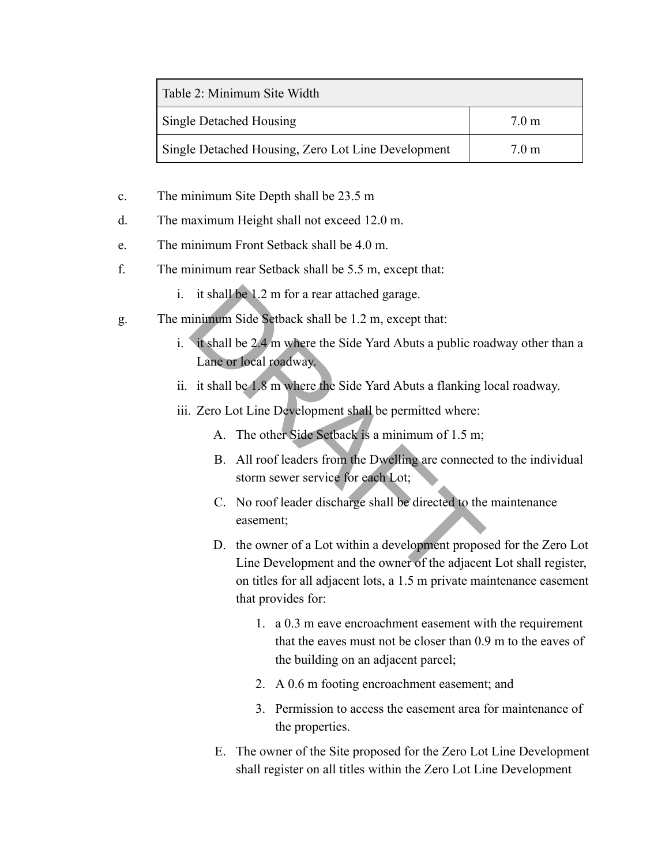| Table 2: Minimum Site Width                        |                  |  |  |
|----------------------------------------------------|------------------|--|--|
| Single Detached Housing                            | 7.0 <sub>m</sub> |  |  |
| Single Detached Housing, Zero Lot Line Development | 7.0 m            |  |  |

- c. The minimum Site Depth shall be 23.5 m
- d. The maximum Height shall not exceed 12.0 m.
- e. The minimum Front Setback shall be 4.0 m.
- f. The minimum rear Setback shall be 5.5 m, except that:
	- i. it shall be 1.2 m for a rear attached garage.
- g. The minimum Side Setback shall be 1.2 m, except that:
	- i. it shall be  $2.4$  m where the Side Yard Abuts a public roadway other than a Lane or local roadway.
	- ii. it shall be 1.8 m where the Side Yard Abuts a flanking local roadway.
	- iii. Zero Lot Line Development shall be permitted where:
		- A. The other Side Setback is a minimum of 1.5 m;
		- B. All roof leaders from the Dwelling are connected to the individual storm sewer service for each Lot;
		- C. No roof leader discharge shall be directed to the maintenance easement;
- D. the owner of a Lot within a development proposed for the Zero Lot Line Development and the owner of the adjacent Lot shall register, on titles for all adjacent lots, a 1.5 m private maintenance easement that provides for: it shall be 1.2 m for a rear attached garage.<br>
inimum Side Setback shall be 1.2 m, except that:<br>
it shall be 2.4 m where the Side Yard Abuts a public road<br>
Lane or local roadway.<br>
it shall be 1.8 m where the Side Yard Abu
	- 1. a 0.3 m eave encroachment easement with the requirement that the eaves must not be closer than 0.9 m to the eaves of the building on an adjacent parcel;
	- 2. A 0.6 m footing encroachment easement; and
	- 3. Permission to access the easement area for maintenance of the properties.
	- E. The owner of the Site proposed for the Zero Lot Line Development shall register on all titles within the Zero Lot Line Development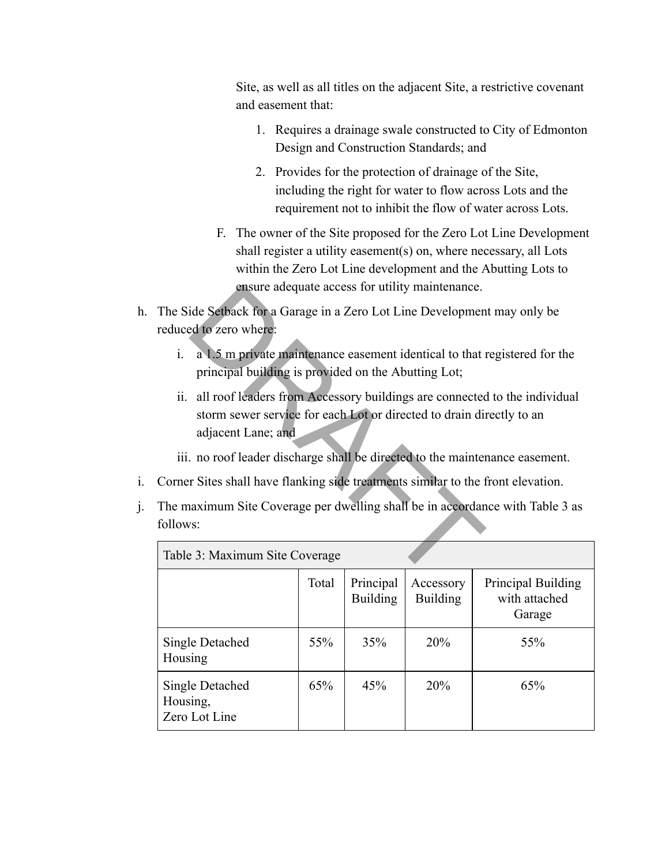Site, as well as all titles on the adjacent Site, a restrictive covenant and easement that:

- 1. Requires a drainage swale constructed to City of Edmonton Design and Construction Standards; and
- 2. Provides for the protection of drainage of the Site, including the right for water to flow across Lots and the requirement not to inhibit the flow of water across Lots.
- F. The owner of the Site proposed for the Zero Lot Line Development shall register a utility easement(s) on, where necessary, all Lots within the Zero Lot Line development and the Abutting Lots to ensure adequate access for utility maintenance.
- h. The Side Setback for a Garage in a Zero Lot Line Development may only be reduced to zero where:
	- i. a 1.5 m private maintenance easement identical to that registered for the principal building is provided on the Abutting Lot;
- ii. all roof leaders from Accessory buildings are connected to the individual storm sewer service for each Lot or directed to drain directly to an adjacent Lane; and ensure adequate access for utility maintenance.<br>
ide Setback for a Garage in a Zero Lot Line Developmen<br>
d to zero where:<br>
a 1.5 m private maintenance easement identical to that is<br>
principal building is provided on the Ab
	- iii. no roof leader discharge shall be directed to the maintenance easement.
- i. Corner Sites shall have flanking side treatments similar to the front elevation.

 $\blacksquare$ 

 j. The maximum Site Coverage per dwelling shall be in accordance with Table 3 as follows:

| Table 3: Maximum Site Coverage               |       |                              |                              |                                               |
|----------------------------------------------|-------|------------------------------|------------------------------|-----------------------------------------------|
|                                              | Total | Principal<br><b>Building</b> | Accessory<br><b>Building</b> | Principal Building<br>with attached<br>Garage |
| <b>Single Detached</b><br>Housing            | 55%   | 35%                          | 20%                          | 55%                                           |
| Single Detached<br>Housing,<br>Zero Lot Line | 65%   | 45%                          | 20%                          | 65%                                           |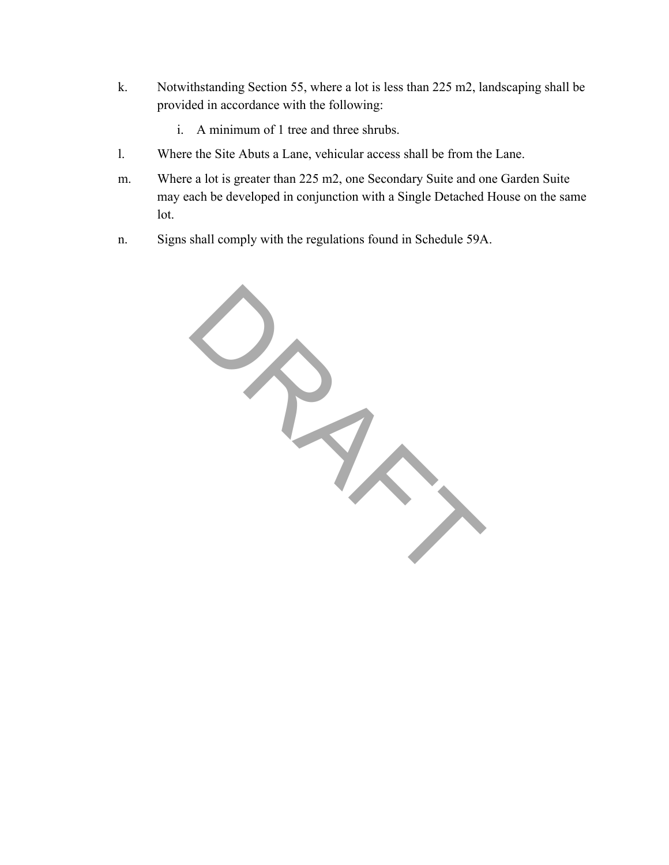- k. Notwithstanding Section 55, where a lot is less than 225 m2, landscaping shall be provided in accordance with the following:
	- i. A minimum of 1 tree and three shrubs.
- l. Where the Site Abuts a Lane, vehicular access shall be from the Lane.
- m. Where a lot is greater than 225 m2, one Secondary Suite and one Garden Suite may each be developed in conjunction with a Single Detached House on the same lot.
- n. Signs shall comply with the regulations found in Schedule 59A.

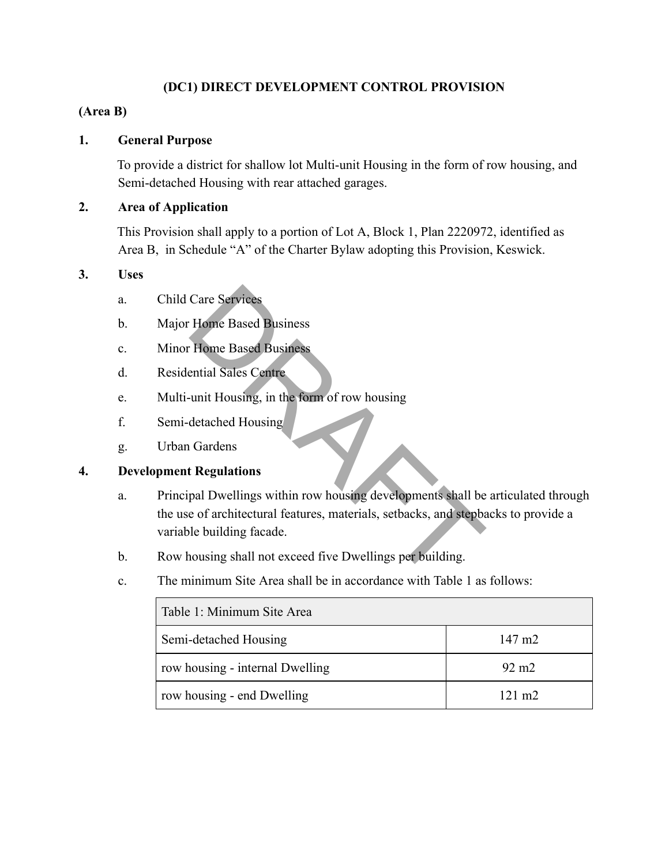## **(DC1) DIRECT DEVELOPMENT CONTROL PROVISION**

## **(Area B)**

## **1. General Purpose**

 To provide a district for shallow lot Multi-unit Housing in the form of row housing, and Semi-detached Housing with rear attached garages.

## **2. Area of Application**

 This Provision shall apply to a portion of Lot A, Block 1, Plan 2220972, identified as Area B, in Schedule "A" of the Charter Bylaw adopting this Provision, Keswick.

## **3. Uses**

- a. Child Care Services
- b. Major Home Based Business
- c. Minor Home Based Business
- d. Residential Sales Centre
- e. Multi-unit Housing, in the form of row housing
- f. Semi-detached Housing
- g. Urban Gardens

## **4. Development Regulations**

- a. Principal Dwellings within row housing developments shall be articulated through the use of architectural features, materials, setbacks, and stepbacks to provide a variable building facade. Care Services<br>
Home Based Business<br>
Home Based Business<br>
ential Sales Centre<br>
unit Housing<br>
detached Housing<br>
detached Housing<br>
detached Housing<br> **Regulations**<br>
pal Dwellings within row housing developments shall be<br>
e of
- b. Row housing shall not exceed five Dwellings per building.
- c. The minimum Site Area shall be in accordance with Table 1 as follows:

| Table 1: Minimum Site Area      |                  |  |
|---------------------------------|------------------|--|
| Semi-detached Housing           | $147 \text{ m}2$ |  |
| row housing - internal Dwelling | $92 \text{ m}$   |  |
| row housing - end Dwelling      | $121 \text{ m}2$ |  |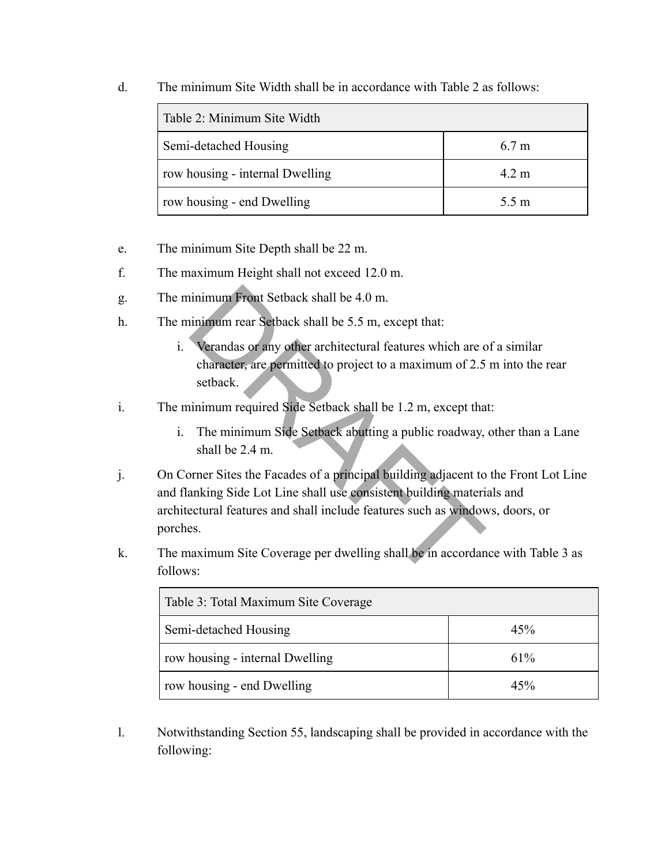d. The minimum Site Width shall be in accordance with Table 2 as follows:

| Table 2: Minimum Site Width     |                  |  |
|---------------------------------|------------------|--|
| Semi-detached Housing           | 6.7 <sub>m</sub> |  |
| row housing - internal Dwelling | $4.2 \text{ m}$  |  |
| row housing - end Dwelling      | $5.5 \text{ m}$  |  |

- e. The minimum Site Depth shall be 22 m.
- f. The maximum Height shall not exceed 12.0 m.
- g. The minimum Front Setback shall be 4.0 m.
- h. The minimum rear Setback shall be 5.5 m, except that:
	- i. Verandas or any other architectural features which are of a similar character, are permitted to project to a maximum of 2.5 m into the rear setback.
- i. The minimum required Side Setback shall be 1.2 m, except that:
	- i. The minimum Side Setback abutting a public roadway, other than a Lane shall be 2.4 m.
- j. On Corner Sites the Facades of a principal building adjacent to the Front Lot Line and flanking Side Lot Line shall use consistent building materials and architectural features and shall include features such as windows, doors, or porches. inimum Front Setback shall be 4.0 m.<br>
inimum rear Setback shall be 5.5 m, except that:<br>
Verandas or any other architectural features which are c<br>
character, are permitted to project to a maximum of 2.5<br>
setback.<br>
inimum re
- k. The maximum Site Coverage per dwelling shall be in accordance with Table 3 as follows:

| Table 3: Total Maximum Site Coverage |     |  |
|--------------------------------------|-----|--|
| Semi-detached Housing                | 45% |  |
| row housing - internal Dwelling      | 61% |  |
| row housing - end Dwelling           | 45% |  |

 l. Notwithstanding Section 55, landscaping shall be provided in accordance with the following: